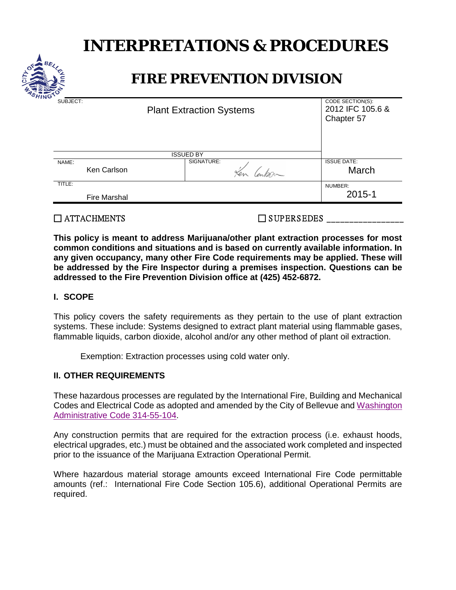# **INTERPRETATIONS & PROCEDURES**



# **FIRE PREVENTION DIVISION**

| SUBJECT:         | <b>Plant Extraction Systems</b> |            | CODE SECTION(S):<br>2012 IFC 105.6 &<br>Chapter 57 |
|------------------|---------------------------------|------------|----------------------------------------------------|
| <b>ISSUED BY</b> |                                 |            |                                                    |
| NAME:            | Ken Carlson                     | SIGNATURE: | <b>ISSUE DATE:</b><br>March                        |
| TITLE:           | <b>Fire Marshal</b>             |            | NUMBER:<br>2015-1                                  |
|                  |                                 |            |                                                    |

### $\Box$  ATTACHMENTS  $\Box$  SUPERSEDES

**This policy is meant to address Marijuana/other plant extraction processes for most common conditions and situations and is based on currently available information. In any given occupancy, many other Fire Code requirements may be applied. These will be addressed by the Fire Inspector during a premises inspection. Questions can be addressed to the Fire Prevention Division office at (425) 452-6872.**

#### **I. SCOPE**

This policy covers the safety requirements as they pertain to the use of plant extraction systems. These include: Systems designed to extract plant material using flammable gases, flammable liquids, carbon dioxide, alcohol and/or any other method of plant oil extraction.

Exemption: Extraction processes using cold water only.

#### **II. OTHER REQUIREMENTS**

These hazardous processes are regulated by the International Fire, Building and Mechanical Codes and Electrical Code as adopted and amended by the City of Bellevue and [Washington](http://apps.leg.wa.gov/WAC/default.aspx?cite=314-55-104)  [Administrative Code 314-55-104.](http://apps.leg.wa.gov/WAC/default.aspx?cite=314-55-104)

Any construction permits that are required for the extraction process (i.e. exhaust hoods, electrical upgrades, etc.) must be obtained and the associated work completed and inspected prior to the issuance of the Marijuana Extraction Operational Permit.

Where hazardous material storage amounts exceed International Fire Code permittable amounts (ref.: International Fire Code Section 105.6), additional Operational Permits are required.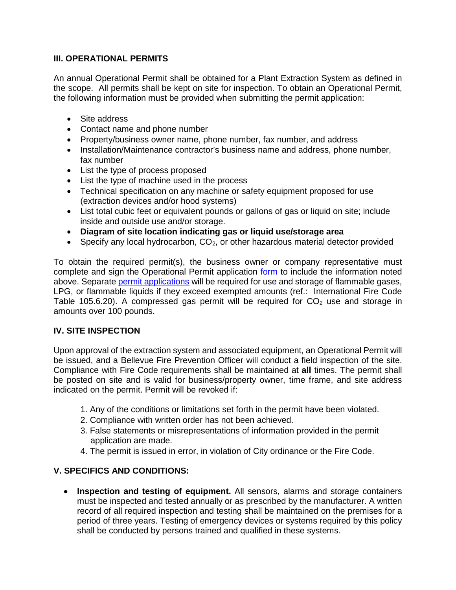#### **III. OPERATIONAL PERMITS**

An annual Operational Permit shall be obtained for a Plant Extraction System as defined in the scope. All permits shall be kept on site for inspection. To obtain an Operational Permit, the following information must be provided when submitting the permit application:

- Site address
- Contact name and phone number
- Property/business owner name, phone number, fax number, and address
- Installation/Maintenance contractor's business name and address, phone number, fax number
- List the type of process proposed
- List the type of machine used in the process
- Technical specification on any machine or safety equipment proposed for use (extraction devices and/or hood systems)
- List total cubic feet or equivalent pounds or gallons of gas or liquid on site; include inside and outside use and/or storage.
- **Diagram of site location indicating gas or liquid use/storage area**
- Specify any local hydrocarbon,  $CO<sub>2</sub>$ , or other hazardous material detector provided

To obtain the required permit(s), the business owner or company representative must complete and sign the Operational Permit application [form](http://www.bellevuewa.gov/UserFiles/Servers/Server_4779004/file/pdf/Fire/Operational_Permit_Application.Generic.pdf) to include the information noted above. Separate permit [applications](http://www.bellevuewa.gov/UserFiles/Servers/Server_4779004/file/pdf/Fire/Operational_Permit_Application.Flammable_and_Combustible_Liquids.pdf) will be required for use and storage of flammable gases, LPG, or flammable liquids if they exceed exempted amounts (ref.: International Fire Code Table 105.6.20). A compressed gas permit will be required for  $CO<sub>2</sub>$  use and storage in amounts over 100 pounds.

#### **IV. SITE INSPECTION**

Upon approval of the extraction system and associated equipment, an Operational Permit will be issued, and a Bellevue Fire Prevention Officer will conduct a field inspection of the site. Compliance with Fire Code requirements shall be maintained at **all** times. The permit shall be posted on site and is valid for business/property owner, time frame, and site address indicated on the permit. Permit will be revoked if:

- 1. Any of the conditions or limitations set forth in the permit have been violated.
- 2. Compliance with written order has not been achieved.
- 3. False statements or misrepresentations of information provided in the permit application are made.
- 4. The permit is issued in error, in violation of City ordinance or the Fire Code.

## **V. SPECIFICS AND CONDITIONS:**

• **Inspection and testing of equipment.** All sensors, alarms and storage containers must be inspected and tested annually or as prescribed by the manufacturer. A written record of all required inspection and testing shall be maintained on the premises for a period of three years. Testing of emergency devices or systems required by this policy shall be conducted by persons trained and qualified in these systems.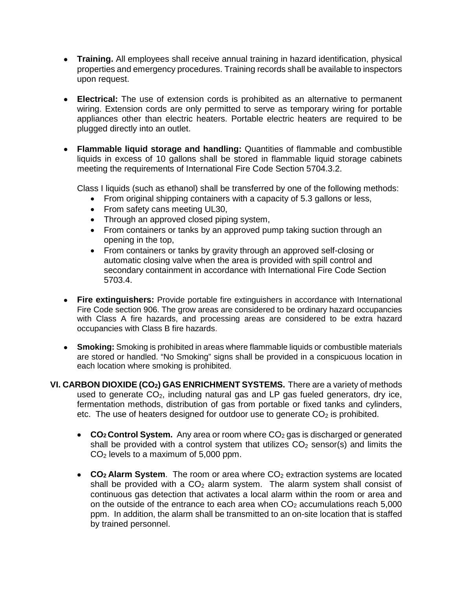- **Training.** All employees shall receive annual training in hazard identification, physical properties and emergency procedures. Training records shall be available to inspectors upon request.
- **Electrical:** The use of extension cords is prohibited as an alternative to permanent wiring. Extension cords are only permitted to serve as temporary wiring for portable appliances other than electric heaters. Portable electric heaters are required to be plugged directly into an outlet.
- **Flammable liquid storage and handling:** Quantities of flammable and combustible liquids in excess of 10 gallons shall be stored in flammable liquid storage cabinets meeting the requirements of International Fire Code Section 5704.3.2.

Class I liquids (such as ethanol) shall be transferred by one of the following methods:

- From original shipping containers with a capacity of 5.3 gallons or less,
- From safety cans meeting UL30,
- Through an approved closed piping system,
- From containers or tanks by an approved pump taking suction through an opening in the top,
- From containers or tanks by gravity through an approved self-closing or automatic closing valve when the area is provided with spill control and secondary containment in accordance with International Fire Code Section 5703.4.
- **Fire extinguishers:** Provide portable fire extinguishers in accordance with International Fire Code section 906. The grow areas are considered to be ordinary hazard occupancies with Class A fire hazards, and processing areas are considered to be extra hazard occupancies with Class B fire hazards.
- **Smoking:** Smoking is prohibited in areas where flammable liquids or combustible materials are stored or handled. "No Smoking" signs shall be provided in a conspicuous location in each location where smoking is prohibited.
- **VI. CARBON DIOXIDE (CO2) GAS ENRICHMENT SYSTEMS.** There are a variety of methods used to generate  $CO<sub>2</sub>$ , including natural gas and LP gas fueled generators, dry ice, fermentation methods, distribution of gas from portable or fixed tanks and cylinders, etc. The use of heaters designed for outdoor use to generate  $CO<sub>2</sub>$  is prohibited.
	- CO<sub>2</sub> Control System. Any area or room where CO<sub>2</sub> gas is discharged or generated shall be provided with a control system that utilizes  $CO<sub>2</sub>$  sensor(s) and limits the CO2 levels to a maximum of 5,000 ppm.
	- **CO<sub>2</sub> Alarm System**. The room or area where CO<sub>2</sub> extraction systems are located shall be provided with a  $CO<sub>2</sub>$  alarm system. The alarm system shall consist of continuous gas detection that activates a local alarm within the room or area and on the outside of the entrance to each area when  $CO<sub>2</sub>$  accumulations reach 5,000 ppm. In addition, the alarm shall be transmitted to an on-site location that is staffed by trained personnel.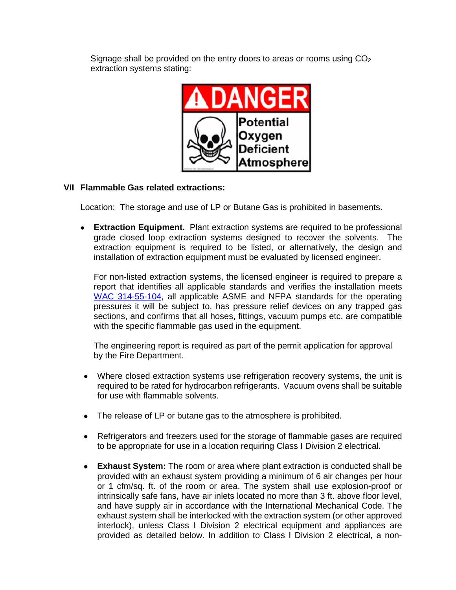Signage shall be provided on the entry doors to areas or rooms using  $CO<sub>2</sub>$ extraction systems stating:



#### **VII Flammable Gas related extractions:**

Location: The storage and use of LP or Butane Gas is prohibited in basements.

• **Extraction Equipment.** Plant extraction systems are required to be professional grade closed loop extraction systems designed to recover the solvents. The extraction equipment is required to be listed, or alternatively, the design and installation of extraction equipment must be evaluated by licensed engineer.

For non-listed extraction systems, the licensed engineer is required to prepare a report that identifies all applicable standards and verifies the installation meets [WAC 314-55-104,](http://apps.leg.wa.gov/WAC/default.aspx?cite=314-55-104) all applicable ASME and NFPA standards for the operating pressures it will be subject to, has pressure relief devices on any trapped gas sections, and confirms that all hoses, fittings, vacuum pumps etc. are compatible with the specific flammable gas used in the equipment.

The engineering report is required as part of the permit application for approval by the Fire Department.

- Where closed extraction systems use refrigeration recovery systems, the unit is required to be rated for hydrocarbon refrigerants. Vacuum ovens shall be suitable for use with flammable solvents.
- The release of LP or butane gas to the atmosphere is prohibited.
- Refrigerators and freezers used for the storage of flammable gases are required to be appropriate for use in a location requiring Class I Division 2 electrical.
- **Exhaust System:** The room or area where plant extraction is conducted shall be provided with an exhaust system providing a minimum of 6 air changes per hour or 1 cfm/sq. ft. of the room or area. The system shall use explosion-proof or intrinsically safe fans, have air inlets located no more than 3 ft. above floor level, and have supply air in accordance with the International Mechanical Code. The exhaust system shall be interlocked with the extraction system (or other approved interlock), unless Class I Division 2 electrical equipment and appliances are provided as detailed below. In addition to Class I Division 2 electrical, a non-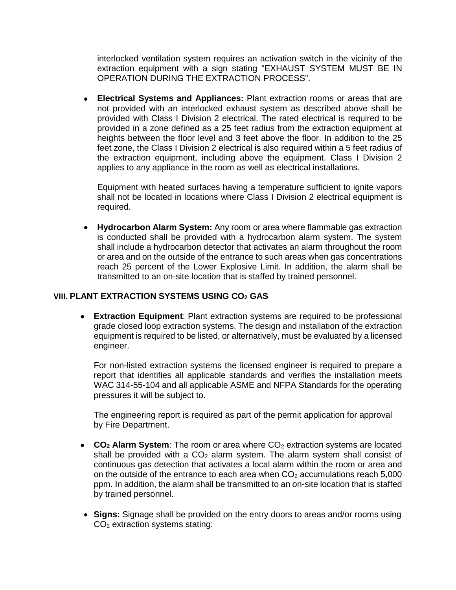interlocked ventilation system requires an activation switch in the vicinity of the extraction equipment with a sign stating "EXHAUST SYSTEM MUST BE IN OPERATION DURING THE EXTRACTION PROCESS".

• **Electrical Systems and Appliances:** Plant extraction rooms or areas that are not provided with an interlocked exhaust system as described above shall be provided with Class I Division 2 electrical. The rated electrical is required to be provided in a zone defined as a 25 feet radius from the extraction equipment at heights between the floor level and 3 feet above the floor. In addition to the 25 feet zone, the Class I Division 2 electrical is also required within a 5 feet radius of the extraction equipment, including above the equipment. Class I Division 2 applies to any appliance in the room as well as electrical installations.

Equipment with heated surfaces having a temperature sufficient to ignite vapors shall not be located in locations where Class I Division 2 electrical equipment is required.

• **Hydrocarbon Alarm System:** Any room or area where flammable gas extraction is conducted shall be provided with a hydrocarbon alarm system. The system shall include a hydrocarbon detector that activates an alarm throughout the room or area and on the outside of the entrance to such areas when gas concentrations reach 25 percent of the Lower Explosive Limit. In addition, the alarm shall be transmitted to an on-site location that is staffed by trained personnel.

#### **VIII. PLANT EXTRACTION SYSTEMS USING CO2 GAS**

• **Extraction Equipment**: Plant extraction systems are required to be professional grade closed loop extraction systems. The design and installation of the extraction equipment is required to be listed, or alternatively, must be evaluated by a licensed engineer.

For non-listed extraction systems the licensed engineer is required to prepare a report that identifies all applicable standards and verifies the installation meets WAC 314-55-104 and all applicable ASME and NFPA Standards for the operating pressures it will be subject to.

The engineering report is required as part of the permit application for approval by Fire Department.

- CO<sub>2</sub> Alarm System: The room or area where CO<sub>2</sub> extraction systems are located shall be provided with a  $CO<sub>2</sub>$  alarm system. The alarm system shall consist of continuous gas detection that activates a local alarm within the room or area and on the outside of the entrance to each area when  $CO<sub>2</sub>$  accumulations reach 5,000 ppm. In addition, the alarm shall be transmitted to an on-site location that is staffed by trained personnel.
- **Signs:** Signage shall be provided on the entry doors to areas and/or rooms using CO2 extraction systems stating: